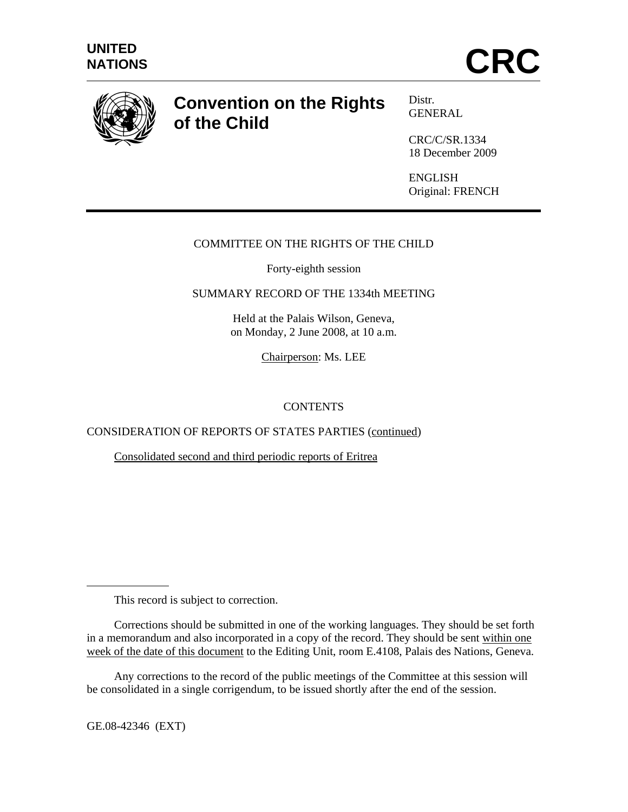

# **Convention on the Rights of the Child**

Distr*.*  GENERAL

CRC/C/SR.1334 18 December 2009

ENGLISH Original: FRENCH

## COMMITTEE ON THE RIGHTS OF THE CHILD

Forty-eighth session

SUMMARY RECORD OF THE 1334th MEETING

Held at the Palais Wilson, Geneva, on Monday, 2 June 2008, at 10 a.m.

Chairperson: Ms. LEE

# **CONTENTS**

CONSIDERATION OF REPORTS OF STATES PARTIES (continued)

Consolidated second and third periodic reports of Eritrea

This record is subject to correction.

GE.08-42346 (EXT)

 $\overline{a}$ 

Corrections should be submitted in one of the working languages. They should be set forth in a memorandum and also incorporated in a copy of the record. They should be sent within one week of the date of this document to the Editing Unit, room E.4108, Palais des Nations, Geneva.

Any corrections to the record of the public meetings of the Committee at this session will be consolidated in a single corrigendum, to be issued shortly after the end of the session.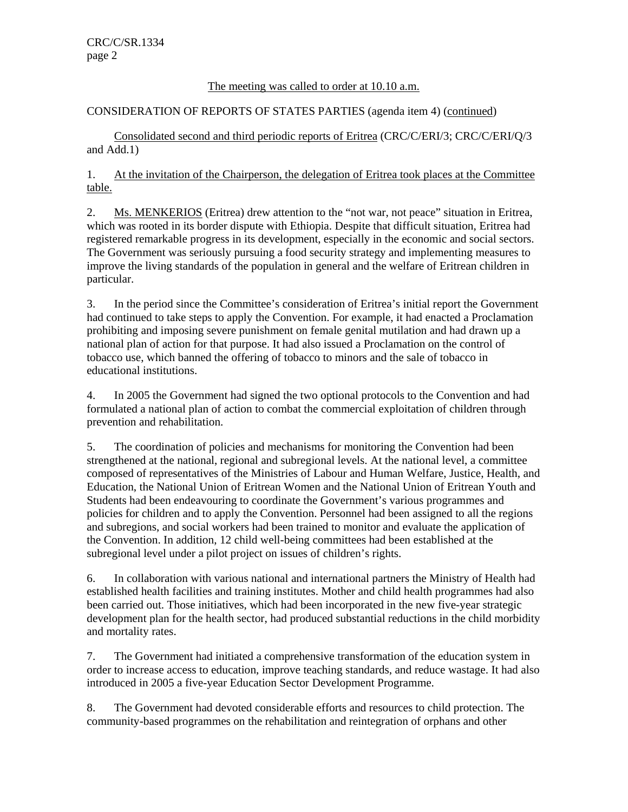#### The meeting was called to order at 10.10 a.m.

#### CONSIDERATION OF REPORTS OF STATES PARTIES (agenda item 4) (continued)

 Consolidated second and third periodic reports of Eritrea (CRC/C/ERI/3; CRC/C/ERI/Q/3 and Add.1)

1. At the invitation of the Chairperson, the delegation of Eritrea took places at the Committee table.

2. Ms. MENKERIOS (Eritrea) drew attention to the "not war, not peace" situation in Eritrea, which was rooted in its border dispute with Ethiopia. Despite that difficult situation, Eritrea had registered remarkable progress in its development, especially in the economic and social sectors. The Government was seriously pursuing a food security strategy and implementing measures to improve the living standards of the population in general and the welfare of Eritrean children in particular.

3. In the period since the Committee's consideration of Eritrea's initial report the Government had continued to take steps to apply the Convention. For example, it had enacted a Proclamation prohibiting and imposing severe punishment on female genital mutilation and had drawn up a national plan of action for that purpose. It had also issued a Proclamation on the control of tobacco use, which banned the offering of tobacco to minors and the sale of tobacco in educational institutions.

4. In 2005 the Government had signed the two optional protocols to the Convention and had formulated a national plan of action to combat the commercial exploitation of children through prevention and rehabilitation.

5. The coordination of policies and mechanisms for monitoring the Convention had been strengthened at the national, regional and subregional levels. At the national level, a committee composed of representatives of the Ministries of Labour and Human Welfare, Justice, Health, and Education, the National Union of Eritrean Women and the National Union of Eritrean Youth and Students had been endeavouring to coordinate the Government's various programmes and policies for children and to apply the Convention. Personnel had been assigned to all the regions and subregions, and social workers had been trained to monitor and evaluate the application of the Convention. In addition, 12 child well-being committees had been established at the subregional level under a pilot project on issues of children's rights.

6. In collaboration with various national and international partners the Ministry of Health had established health facilities and training institutes. Mother and child health programmes had also been carried out. Those initiatives, which had been incorporated in the new five-year strategic development plan for the health sector, had produced substantial reductions in the child morbidity and mortality rates.

7. The Government had initiated a comprehensive transformation of the education system in order to increase access to education, improve teaching standards, and reduce wastage. It had also introduced in 2005 a five-year Education Sector Development Programme.

8. The Government had devoted considerable efforts and resources to child protection. The community-based programmes on the rehabilitation and reintegration of orphans and other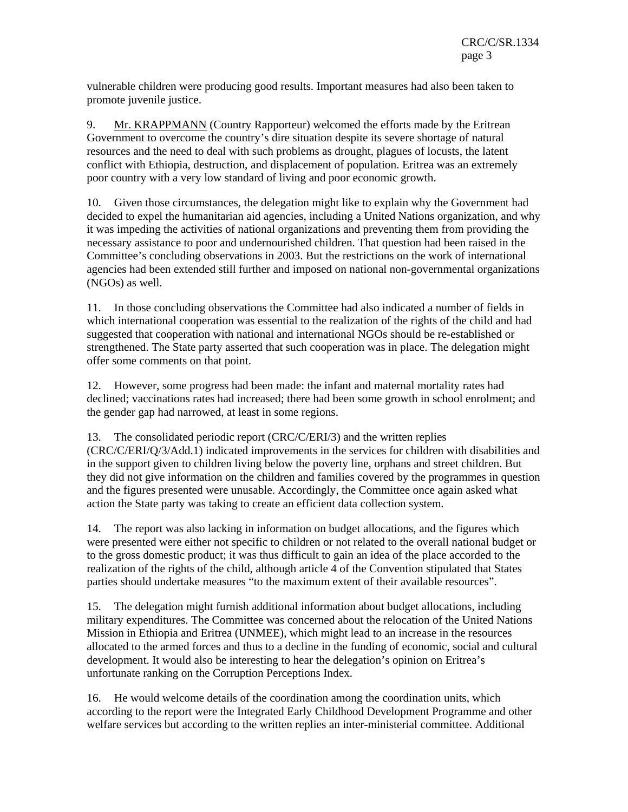vulnerable children were producing good results. Important measures had also been taken to promote juvenile justice.

9. Mr. KRAPPMANN (Country Rapporteur) welcomed the efforts made by the Eritrean Government to overcome the country's dire situation despite its severe shortage of natural resources and the need to deal with such problems as drought, plagues of locusts, the latent conflict with Ethiopia, destruction, and displacement of population. Eritrea was an extremely poor country with a very low standard of living and poor economic growth.

10. Given those circumstances, the delegation might like to explain why the Government had decided to expel the humanitarian aid agencies, including a United Nations organization, and why it was impeding the activities of national organizations and preventing them from providing the necessary assistance to poor and undernourished children. That question had been raised in the Committee's concluding observations in 2003. But the restrictions on the work of international agencies had been extended still further and imposed on national non-governmental organizations (NGOs) as well.

11. In those concluding observations the Committee had also indicated a number of fields in which international cooperation was essential to the realization of the rights of the child and had suggested that cooperation with national and international NGOs should be re-established or strengthened. The State party asserted that such cooperation was in place. The delegation might offer some comments on that point.

12. However, some progress had been made: the infant and maternal mortality rates had declined; vaccinations rates had increased; there had been some growth in school enrolment; and the gender gap had narrowed, at least in some regions.

13. The consolidated periodic report (CRC/C/ERI/3) and the written replies (CRC/C/ERI/Q/3/Add.1) indicated improvements in the services for children with disabilities and in the support given to children living below the poverty line, orphans and street children. But they did not give information on the children and families covered by the programmes in question and the figures presented were unusable. Accordingly, the Committee once again asked what action the State party was taking to create an efficient data collection system.

14. The report was also lacking in information on budget allocations, and the figures which were presented were either not specific to children or not related to the overall national budget or to the gross domestic product; it was thus difficult to gain an idea of the place accorded to the realization of the rights of the child, although article 4 of the Convention stipulated that States parties should undertake measures "to the maximum extent of their available resources".

15. The delegation might furnish additional information about budget allocations, including military expenditures. The Committee was concerned about the relocation of the United Nations Mission in Ethiopia and Eritrea (UNMEE), which might lead to an increase in the resources allocated to the armed forces and thus to a decline in the funding of economic, social and cultural development. It would also be interesting to hear the delegation's opinion on Eritrea's unfortunate ranking on the Corruption Perceptions Index.

16. He would welcome details of the coordination among the coordination units, which according to the report were the Integrated Early Childhood Development Programme and other welfare services but according to the written replies an inter-ministerial committee. Additional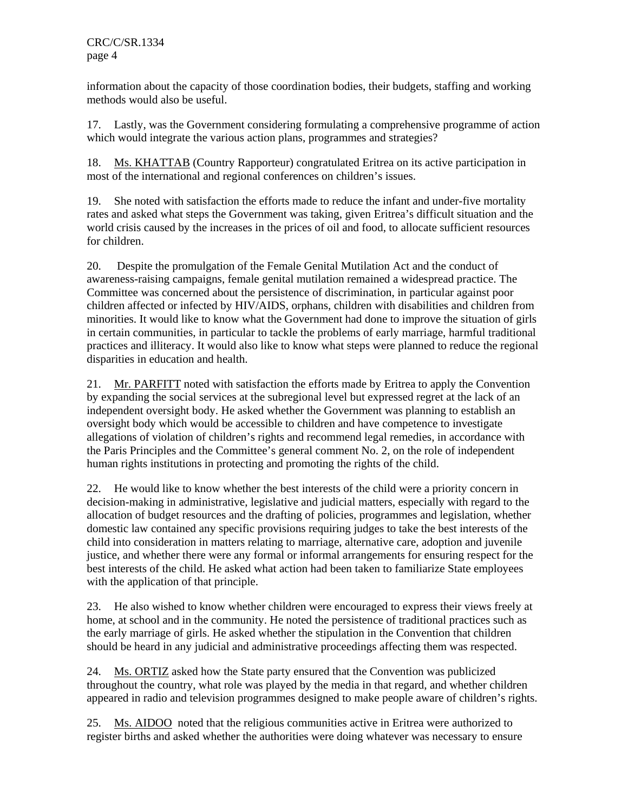information about the capacity of those coordination bodies, their budgets, staffing and working methods would also be useful.

17. Lastly, was the Government considering formulating a comprehensive programme of action which would integrate the various action plans, programmes and strategies?

18. Ms. KHATTAB (Country Rapporteur) congratulated Eritrea on its active participation in most of the international and regional conferences on children's issues.

19. She noted with satisfaction the efforts made to reduce the infant and under-five mortality rates and asked what steps the Government was taking, given Eritrea's difficult situation and the world crisis caused by the increases in the prices of oil and food, to allocate sufficient resources for children.

20. Despite the promulgation of the Female Genital Mutilation Act and the conduct of awareness-raising campaigns, female genital mutilation remained a widespread practice. The Committee was concerned about the persistence of discrimination, in particular against poor children affected or infected by HIV/AIDS, orphans, children with disabilities and children from minorities. It would like to know what the Government had done to improve the situation of girls in certain communities, in particular to tackle the problems of early marriage, harmful traditional practices and illiteracy. It would also like to know what steps were planned to reduce the regional disparities in education and health.

21. Mr. PARFITT noted with satisfaction the efforts made by Eritrea to apply the Convention by expanding the social services at the subregional level but expressed regret at the lack of an independent oversight body. He asked whether the Government was planning to establish an oversight body which would be accessible to children and have competence to investigate allegations of violation of children's rights and recommend legal remedies, in accordance with the Paris Principles and the Committee's general comment No. 2, on the role of independent human rights institutions in protecting and promoting the rights of the child.

22. He would like to know whether the best interests of the child were a priority concern in decision-making in administrative, legislative and judicial matters, especially with regard to the allocation of budget resources and the drafting of policies, programmes and legislation, whether domestic law contained any specific provisions requiring judges to take the best interests of the child into consideration in matters relating to marriage, alternative care, adoption and juvenile justice, and whether there were any formal or informal arrangements for ensuring respect for the best interests of the child. He asked what action had been taken to familiarize State employees with the application of that principle.

23. He also wished to know whether children were encouraged to express their views freely at home, at school and in the community. He noted the persistence of traditional practices such as the early marriage of girls. He asked whether the stipulation in the Convention that children should be heard in any judicial and administrative proceedings affecting them was respected.

24. Ms. ORTIZ asked how the State party ensured that the Convention was publicized throughout the country, what role was played by the media in that regard, and whether children appeared in radio and television programmes designed to make people aware of children's rights.

25. Ms. AIDOO noted that the religious communities active in Eritrea were authorized to register births and asked whether the authorities were doing whatever was necessary to ensure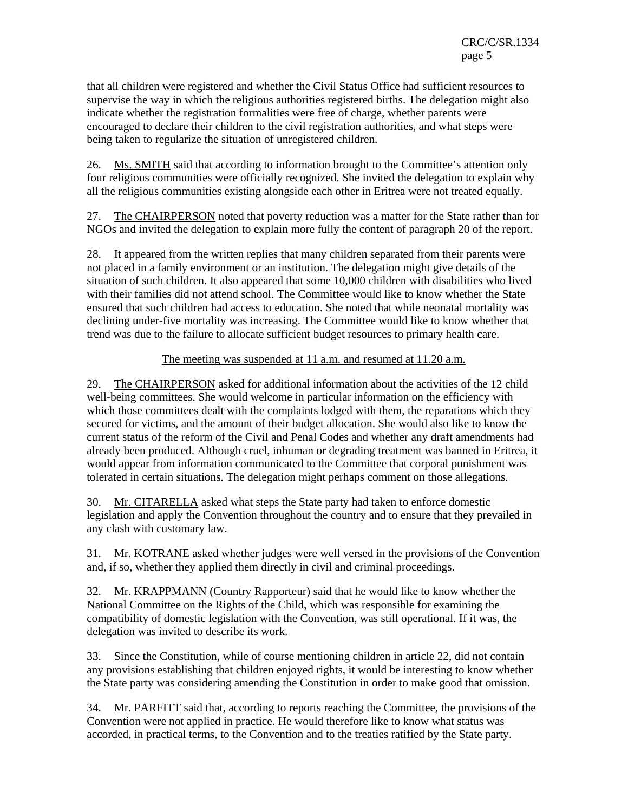that all children were registered and whether the Civil Status Office had sufficient resources to supervise the way in which the religious authorities registered births. The delegation might also indicate whether the registration formalities were free of charge, whether parents were encouraged to declare their children to the civil registration authorities, and what steps were being taken to regularize the situation of unregistered children.

26. Ms. SMITH said that according to information brought to the Committee's attention only four religious communities were officially recognized. She invited the delegation to explain why all the religious communities existing alongside each other in Eritrea were not treated equally.

27. The CHAIRPERSON noted that poverty reduction was a matter for the State rather than for NGOs and invited the delegation to explain more fully the content of paragraph 20 of the report.

28. It appeared from the written replies that many children separated from their parents were not placed in a family environment or an institution. The delegation might give details of the situation of such children. It also appeared that some 10,000 children with disabilities who lived with their families did not attend school. The Committee would like to know whether the State ensured that such children had access to education. She noted that while neonatal mortality was declining under-five mortality was increasing. The Committee would like to know whether that trend was due to the failure to allocate sufficient budget resources to primary health care.

The meeting was suspended at 11 a.m. and resumed at 11.20 a.m.

29. The CHAIRPERSON asked for additional information about the activities of the 12 child well-being committees. She would welcome in particular information on the efficiency with which those committees dealt with the complaints lodged with them, the reparations which they secured for victims, and the amount of their budget allocation. She would also like to know the current status of the reform of the Civil and Penal Codes and whether any draft amendments had already been produced. Although cruel, inhuman or degrading treatment was banned in Eritrea, it would appear from information communicated to the Committee that corporal punishment was tolerated in certain situations. The delegation might perhaps comment on those allegations.

30. Mr. CITARELLA asked what steps the State party had taken to enforce domestic legislation and apply the Convention throughout the country and to ensure that they prevailed in any clash with customary law.

31. Mr. KOTRANE asked whether judges were well versed in the provisions of the Convention and, if so, whether they applied them directly in civil and criminal proceedings.

32. Mr. KRAPPMANN (Country Rapporteur) said that he would like to know whether the National Committee on the Rights of the Child, which was responsible for examining the compatibility of domestic legislation with the Convention, was still operational. If it was, the delegation was invited to describe its work.

33. Since the Constitution, while of course mentioning children in article 22, did not contain any provisions establishing that children enjoyed rights, it would be interesting to know whether the State party was considering amending the Constitution in order to make good that omission.

34. Mr. PARFITT said that, according to reports reaching the Committee, the provisions of the Convention were not applied in practice. He would therefore like to know what status was accorded, in practical terms, to the Convention and to the treaties ratified by the State party.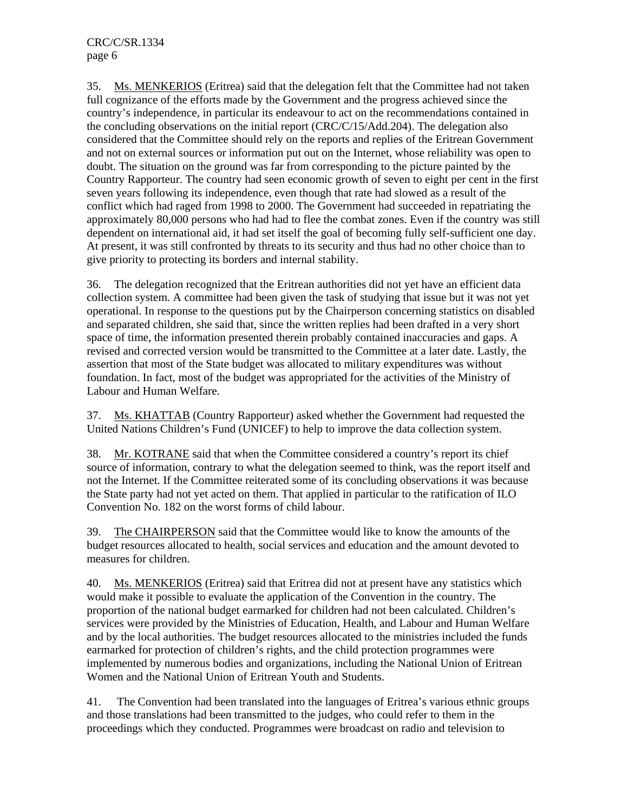35. Ms. MENKERIOS (Eritrea) said that the delegation felt that the Committee had not taken full cognizance of the efforts made by the Government and the progress achieved since the country's independence, in particular its endeavour to act on the recommendations contained in the concluding observations on the initial report (CRC/C/15/Add.204). The delegation also considered that the Committee should rely on the reports and replies of the Eritrean Government and not on external sources or information put out on the Internet, whose reliability was open to doubt. The situation on the ground was far from corresponding to the picture painted by the Country Rapporteur. The country had seen economic growth of seven to eight per cent in the first seven years following its independence, even though that rate had slowed as a result of the conflict which had raged from 1998 to 2000. The Government had succeeded in repatriating the approximately 80,000 persons who had had to flee the combat zones. Even if the country was still dependent on international aid, it had set itself the goal of becoming fully self-sufficient one day. At present, it was still confronted by threats to its security and thus had no other choice than to give priority to protecting its borders and internal stability.

36. The delegation recognized that the Eritrean authorities did not yet have an efficient data collection system. A committee had been given the task of studying that issue but it was not yet operational. In response to the questions put by the Chairperson concerning statistics on disabled and separated children, she said that, since the written replies had been drafted in a very short space of time, the information presented therein probably contained inaccuracies and gaps. A revised and corrected version would be transmitted to the Committee at a later date. Lastly, the assertion that most of the State budget was allocated to military expenditures was without foundation. In fact, most of the budget was appropriated for the activities of the Ministry of Labour and Human Welfare.

37. Ms. KHATTAB (Country Rapporteur) asked whether the Government had requested the United Nations Children's Fund (UNICEF) to help to improve the data collection system.

38. Mr. KOTRANE said that when the Committee considered a country's report its chief source of information, contrary to what the delegation seemed to think, was the report itself and not the Internet. If the Committee reiterated some of its concluding observations it was because the State party had not yet acted on them. That applied in particular to the ratification of ILO Convention No. 182 on the worst forms of child labour.

39. The CHAIRPERSON said that the Committee would like to know the amounts of the budget resources allocated to health, social services and education and the amount devoted to measures for children.

40. Ms. MENKERIOS (Eritrea) said that Eritrea did not at present have any statistics which would make it possible to evaluate the application of the Convention in the country. The proportion of the national budget earmarked for children had not been calculated. Children's services were provided by the Ministries of Education, Health, and Labour and Human Welfare and by the local authorities. The budget resources allocated to the ministries included the funds earmarked for protection of children's rights, and the child protection programmes were implemented by numerous bodies and organizations, including the National Union of Eritrean Women and the National Union of Eritrean Youth and Students.

41. The Convention had been translated into the languages of Eritrea's various ethnic groups and those translations had been transmitted to the judges, who could refer to them in the proceedings which they conducted. Programmes were broadcast on radio and television to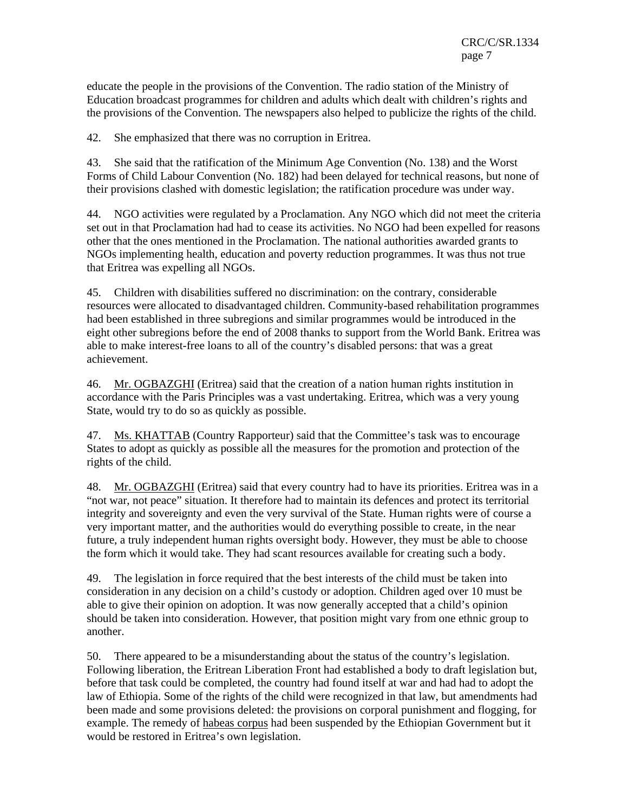educate the people in the provisions of the Convention. The radio station of the Ministry of Education broadcast programmes for children and adults which dealt with children's rights and the provisions of the Convention. The newspapers also helped to publicize the rights of the child.

42. She emphasized that there was no corruption in Eritrea.

43. She said that the ratification of the Minimum Age Convention (No. 138) and the Worst Forms of Child Labour Convention (No. 182) had been delayed for technical reasons, but none of their provisions clashed with domestic legislation; the ratification procedure was under way.

44. NGO activities were regulated by a Proclamation. Any NGO which did not meet the criteria set out in that Proclamation had had to cease its activities. No NGO had been expelled for reasons other that the ones mentioned in the Proclamation. The national authorities awarded grants to NGOs implementing health, education and poverty reduction programmes. It was thus not true that Eritrea was expelling all NGOs.

45. Children with disabilities suffered no discrimination: on the contrary, considerable resources were allocated to disadvantaged children. Community-based rehabilitation programmes had been established in three subregions and similar programmes would be introduced in the eight other subregions before the end of 2008 thanks to support from the World Bank. Eritrea was able to make interest-free loans to all of the country's disabled persons: that was a great achievement.

46. Mr. OGBAZGHI (Eritrea) said that the creation of a nation human rights institution in accordance with the Paris Principles was a vast undertaking. Eritrea, which was a very young State, would try to do so as quickly as possible.

47. Ms. KHATTAB (Country Rapporteur) said that the Committee's task was to encourage States to adopt as quickly as possible all the measures for the promotion and protection of the rights of the child.

48. Mr. OGBAZGHI (Eritrea) said that every country had to have its priorities. Eritrea was in a "not war, not peace" situation. It therefore had to maintain its defences and protect its territorial integrity and sovereignty and even the very survival of the State. Human rights were of course a very important matter, and the authorities would do everything possible to create, in the near future, a truly independent human rights oversight body. However, they must be able to choose the form which it would take. They had scant resources available for creating such a body.

49. The legislation in force required that the best interests of the child must be taken into consideration in any decision on a child's custody or adoption. Children aged over 10 must be able to give their opinion on adoption. It was now generally accepted that a child's opinion should be taken into consideration. However, that position might vary from one ethnic group to another.

50. There appeared to be a misunderstanding about the status of the country's legislation. Following liberation, the Eritrean Liberation Front had established a body to draft legislation but, before that task could be completed, the country had found itself at war and had had to adopt the law of Ethiopia. Some of the rights of the child were recognized in that law, but amendments had been made and some provisions deleted: the provisions on corporal punishment and flogging, for example. The remedy of habeas corpus had been suspended by the Ethiopian Government but it would be restored in Eritrea's own legislation.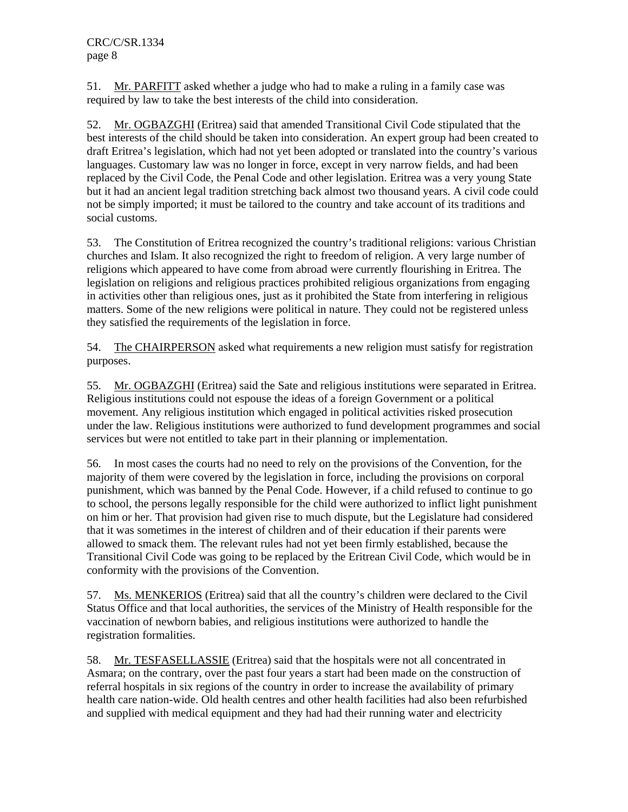51. Mr. PARFITT asked whether a judge who had to make a ruling in a family case was required by law to take the best interests of the child into consideration.

52. Mr. OGBAZGHI (Eritrea) said that amended Transitional Civil Code stipulated that the best interests of the child should be taken into consideration. An expert group had been created to draft Eritrea's legislation, which had not yet been adopted or translated into the country's various languages. Customary law was no longer in force, except in very narrow fields, and had been replaced by the Civil Code, the Penal Code and other legislation. Eritrea was a very young State but it had an ancient legal tradition stretching back almost two thousand years. A civil code could not be simply imported; it must be tailored to the country and take account of its traditions and social customs.

53. The Constitution of Eritrea recognized the country's traditional religions: various Christian churches and Islam. It also recognized the right to freedom of religion. A very large number of religions which appeared to have come from abroad were currently flourishing in Eritrea. The legislation on religions and religious practices prohibited religious organizations from engaging in activities other than religious ones, just as it prohibited the State from interfering in religious matters. Some of the new religions were political in nature. They could not be registered unless they satisfied the requirements of the legislation in force.

54. The CHAIRPERSON asked what requirements a new religion must satisfy for registration purposes.

55. Mr. OGBAZGHI (Eritrea) said the Sate and religious institutions were separated in Eritrea. Religious institutions could not espouse the ideas of a foreign Government or a political movement. Any religious institution which engaged in political activities risked prosecution under the law. Religious institutions were authorized to fund development programmes and social services but were not entitled to take part in their planning or implementation.

56. In most cases the courts had no need to rely on the provisions of the Convention, for the majority of them were covered by the legislation in force, including the provisions on corporal punishment, which was banned by the Penal Code. However, if a child refused to continue to go to school, the persons legally responsible for the child were authorized to inflict light punishment on him or her. That provision had given rise to much dispute, but the Legislature had considered that it was sometimes in the interest of children and of their education if their parents were allowed to smack them. The relevant rules had not yet been firmly established, because the Transitional Civil Code was going to be replaced by the Eritrean Civil Code, which would be in conformity with the provisions of the Convention.

57. Ms. MENKERIOS (Eritrea) said that all the country's children were declared to the Civil Status Office and that local authorities, the services of the Ministry of Health responsible for the vaccination of newborn babies, and religious institutions were authorized to handle the registration formalities.

58. Mr. TESFASELLASSIE (Eritrea) said that the hospitals were not all concentrated in Asmara; on the contrary, over the past four years a start had been made on the construction of referral hospitals in six regions of the country in order to increase the availability of primary health care nation-wide. Old health centres and other health facilities had also been refurbished and supplied with medical equipment and they had had their running water and electricity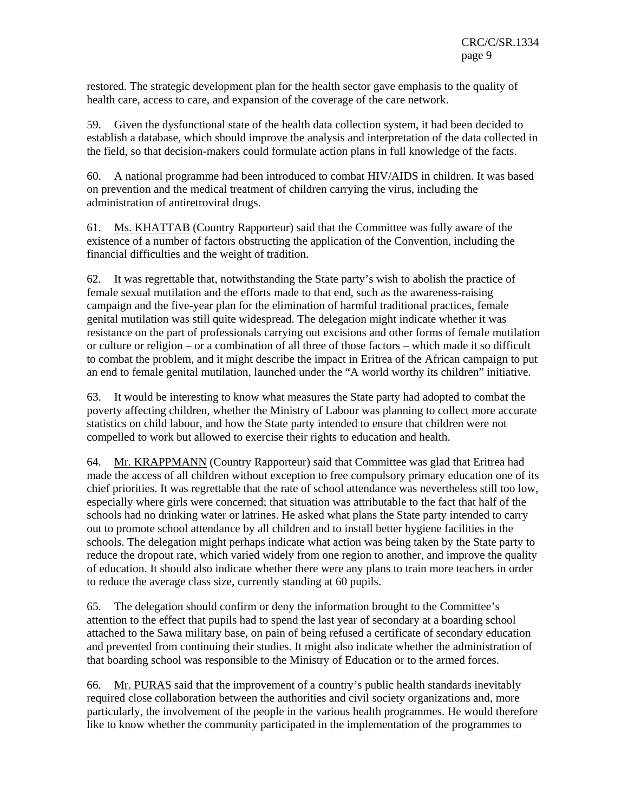restored. The strategic development plan for the health sector gave emphasis to the quality of health care, access to care, and expansion of the coverage of the care network.

59. Given the dysfunctional state of the health data collection system, it had been decided to establish a database, which should improve the analysis and interpretation of the data collected in the field, so that decision-makers could formulate action plans in full knowledge of the facts.

60. A national programme had been introduced to combat HIV/AIDS in children. It was based on prevention and the medical treatment of children carrying the virus, including the administration of antiretroviral drugs.

61. Ms. KHATTAB (Country Rapporteur) said that the Committee was fully aware of the existence of a number of factors obstructing the application of the Convention, including the financial difficulties and the weight of tradition.

62. It was regrettable that, notwithstanding the State party's wish to abolish the practice of female sexual mutilation and the efforts made to that end, such as the awareness-raising campaign and the five-year plan for the elimination of harmful traditional practices, female genital mutilation was still quite widespread. The delegation might indicate whether it was resistance on the part of professionals carrying out excisions and other forms of female mutilation or culture or religion – or a combination of all three of those factors – which made it so difficult to combat the problem, and it might describe the impact in Eritrea of the African campaign to put an end to female genital mutilation, launched under the "A world worthy its children" initiative.

63. It would be interesting to know what measures the State party had adopted to combat the poverty affecting children, whether the Ministry of Labour was planning to collect more accurate statistics on child labour, and how the State party intended to ensure that children were not compelled to work but allowed to exercise their rights to education and health.

64. Mr. KRAPPMANN (Country Rapporteur) said that Committee was glad that Eritrea had made the access of all children without exception to free compulsory primary education one of its chief priorities. It was regrettable that the rate of school attendance was nevertheless still too low, especially where girls were concerned; that situation was attributable to the fact that half of the schools had no drinking water or latrines. He asked what plans the State party intended to carry out to promote school attendance by all children and to install better hygiene facilities in the schools. The delegation might perhaps indicate what action was being taken by the State party to reduce the dropout rate, which varied widely from one region to another, and improve the quality of education. It should also indicate whether there were any plans to train more teachers in order to reduce the average class size, currently standing at 60 pupils.

65. The delegation should confirm or deny the information brought to the Committee's attention to the effect that pupils had to spend the last year of secondary at a boarding school attached to the Sawa military base, on pain of being refused a certificate of secondary education and prevented from continuing their studies. It might also indicate whether the administration of that boarding school was responsible to the Ministry of Education or to the armed forces.

66. Mr. PURAS said that the improvement of a country's public health standards inevitably required close collaboration between the authorities and civil society organizations and, more particularly, the involvement of the people in the various health programmes. He would therefore like to know whether the community participated in the implementation of the programmes to